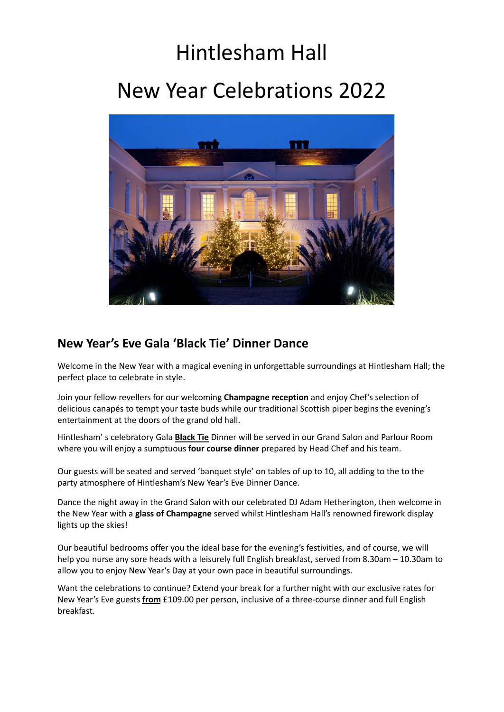# Hintlesham Hall New Year Celebrations 2022



### **New Year's Eve Gala 'Black Tie' Dinner Dance**

Welcome in the New Year with a magical evening in unforgettable surroundings at Hintlesham Hall; the perfect place to celebrate in style.

Join your fellow revellers for our welcoming **Champagne reception** and enjoy Chef's selection of delicious canapés to tempt your taste buds while our traditional Scottish piper begins the evening's entertainment at the doors of the grand old hall.

Hintlesham' s celebratory Gala **Black Tie** Dinner will be served in our Grand Salon and Parlour Room where you will enjoy a sumptuous **four course dinner** prepared by Head Chef and his team.

Our guests will be seated and served 'banquet style' on tables of up to 10, all adding to the to the party atmosphere of Hintlesham's New Year's Eve Dinner Dance.

Dance the night away in the Grand Salon with our celebrated DJ Adam Hetherington, then welcome in the New Year with a **glass of Champagne** served whilst Hintlesham Hall's renowned firework display lights up the skies!

Our beautiful bedrooms offer you the ideal base for the evening's festivities, and of course, we will help you nurse any sore heads with a leisurely full English breakfast, served from 8.30am – 10.30am to allow you to enjoy New Year's Day at your own pace in beautiful surroundings.

Want the celebrations to continue? Extend your break for a further night with our exclusive rates for New Year's Eve guests **from** £109.00 per person, inclusive of a three-course dinner and full English breakfast.